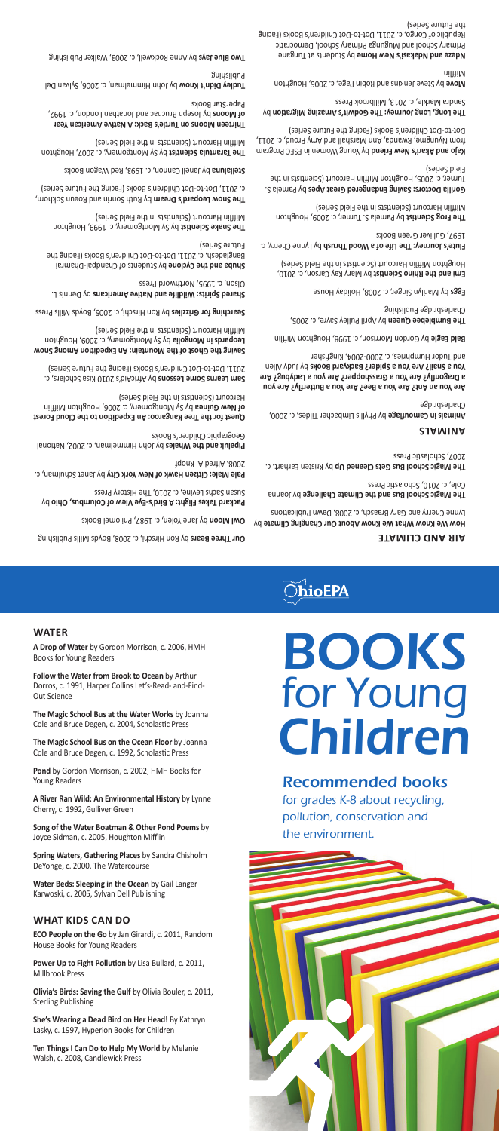

# **Water**

**A Drop of Water** by Gordon Morrison, c. 2006, HMH Books for Young Readers

**Follow the Water from Brook to Ocean** by Arthur Dorros, c. 1991, Harper Collins Let's-Read- and-Find-Out Science

**The Magic School Bus at the Water Works** by Joanna Cole and Bruce Degen, c. 2004, Scholastic Press

**The Magic School Bus on the Ocean Floor** by Joanna Cole and Bruce Degen, c. 1992, Scholastic Press

**Pond** by Gordon Morrison, c. 2002, HMH Books for Young Readers

**A River Ran Wild: An Environmental History** by Lynne Cherry, c. 1992, Gulliver Green

**Song of the Water Boatman & Other Pond Poems** by Joyce Sidman, c. 2005, Houghton Mifflin

**Spring Waters, Gathering Places** by Sandra Chisholm DeYonge, c. 2000, The Watercourse

**Water Beds: Sleeping in the Ocean** by Gail Langer Karwoski, c. 2005, Sylvan Dell Publishing

# **What Kids Can Do**

**ECO People on the Go** by Jan Girardi, c. 2011, Random House Books for Young Readers

**Power Up to Fight Pollution** by Lisa Bullard, c. 2011, Millbrook Press

**Olivia's Birds: Saving the Gulf** by Olivia Bouler, c. 2011, Sterling Publishing

**She's Wearing a Dead Bird on Her Head!** By Kathryn Lasky, c. 1997, Hyperion Books for Children

**Ten Things I Can Do to Help My World** by Melanie Walsh, c. 2008, Candlewick Press

# BOOKS for Young Children

# Recommended books

for grades K-8 about recycling, pollution, conservation and the environment.

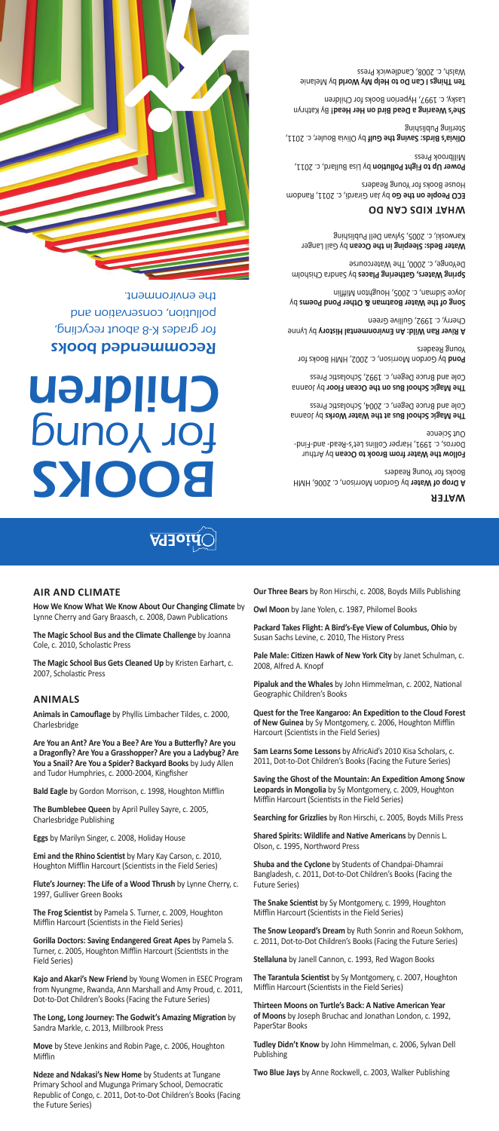#### **Air and Climate**

**How We Know What We Know About Our Changing Climate** by Lynne Cherry and Gary Braasch, c. 2008, Dawn Publications

**The Magic School Bus and the Climate Challenge** by Joanna Cole, c. 2010, Scholastic Press

**The Magic School Bus Gets Cleaned Up** by Kristen Earhart, c. 2007, Scholastic Press

# **Animals**

**Animals in Camouflage** by Phyllis Limbacher Tildes, c. 2000, Charlesbridge

**Are You an Ant? Are You a Bee? Are You a Butterfly? Are you a Dragonfly? Are You a Grasshopper? Are you a Ladybug? Are You a Snail? Are You a Spider? Backyard Books** by Judy Allen and Tudor Humphries, c. 2000-2004, Kingfisher

**Bald Eagle** by Gordon Morrison, c. 1998, Houghton Mifflin

**The Bumblebee Queen** by April Pulley Sayre, c. 2005, Charlesbridge Publishing

**Eggs** by Marilyn Singer, c. 2008, Holiday House

**Emi and the Rhino Scientist** by Mary Kay Carson, c. 2010, Houghton Mifflin Harcourt (Scientists in the Field Series)

**Flute's Journey: The Life of a Wood Thrush** by Lynne Cherry, c. 1997, Gulliver Green Books

**The Frog Scientist** by Pamela S. Turner, c. 2009, Houghton Mifflin Harcourt (Scientists in the Field Series)

**Gorilla Doctors: Saving Endangered Great Apes** by Pamela S. Turner, c. 2005, Houghton Mifflin Harcourt (Scientists in the Field Series)

**Kajo and Akari's New Friend** by Young Women in ESEC Program from Nyungme, Rwanda, Ann Marshall and Amy Proud, c. 2011, Dot-to-Dot Children's Books (Facing the Future Series)

**The Long, Long Journey: The Godwit's Amazing Migration** by Sandra Markle, c. 2013, Millbrook Press

**Move** by Steve Jenkins and Robin Page, c. 2006, Houghton **Mifflin** 

**Ndeze and Ndakasi's New Home** by Students at Tungane Primary School and Mugunga Primary School, Democratic Republic of Congo, c. 2011, Dot-to-Dot Children's Books (Facing the Future Series)

**Our Three Bears** by Ron Hirschi, c. 2008, Boyds Mills Publishing

**Owl Moon** by Jane Yolen, c. 1987, Philomel Books

**Packard Takes Flight: A Bird's-Eye View of Columbus, Ohio** by Susan Sachs Levine, c. 2010, The History Press

**Pale Male: Citizen Hawk of New York City** by Janet Schulman, c. 2008, Alfred A. Knopf

**Pipaluk and the Whales** by John Himmelman, c. 2002, National Geographic Children's Books

**Quest for the Tree Kangaroo: An Expedition to the Cloud Forest of New Guinea** by Sy Montgomery, c. 2006, Houghton Mifflin Harcourt (Scientists in the Field Series)

**Sam Learns Some Lessons** by AfricAid's 2010 Kisa Scholars, c. 2011, Dot-to-Dot Children's Books (Facing the Future Series)

**Saving the Ghost of the Mountain: An Expedition Among Snow Leopards in Mongolia** by Sy Montgomery, c. 2009, Houghton Mifflin Harcourt (Scientists in the Field Series)

**Searching for Grizzlies** by Ron Hirschi, c. 2005, Boyds Mills Press

**Shared Spirits: Wildlife and Native Americans** by Dennis L. Olson, c. 1995, Northword Press

**Shuba and the Cyclone** by Students of Chandpai-Dhamrai Bangladesh, c. 2011, Dot-to-Dot Children's Books (Facing the Future Series)

**The Snake Scientist** by Sy Montgomery, c. 1999, Houghton Mifflin Harcourt (Scientists in the Field Series)

**The Snow Leopard's Dream** by Ruth Sonrin and Roeun Sokhom, c. 2011, Dot-to-Dot Children's Books (Facing the Future Series)

**Stellaluna** by Janell Cannon, c. 1993, Red Wagon Books

**The Tarantula Scientist** by Sy Montgomery, c. 2007, Houghton Mifflin Harcourt (Scientists in the Field Series)

**Thirteen Moons on Turtle's Back: A Native American Year of Moons** by Joseph Bruchac and Jonathan London, c. 1992, PaperStar Books

**Tudley Didn't Know** by John Himmelman, c. 2006, Sylvan Dell Publishing

**Two Blue Jays** by Anne Rockwell, c. 2003, Walker Publishing